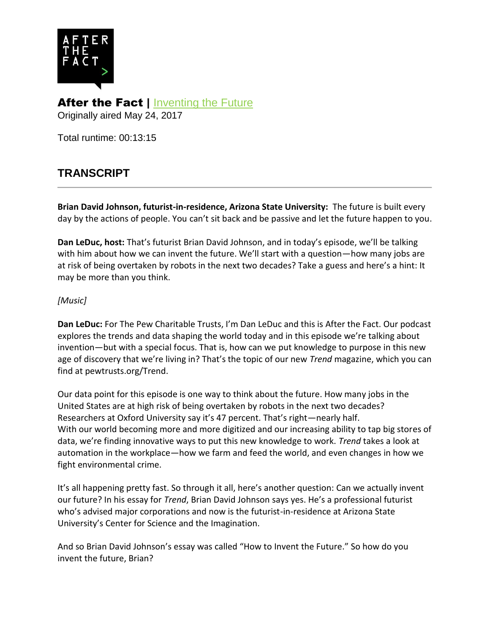

After the Fact | [Inventing the Future](http://www.pewtrusts.org/en/multimedia/audio/2017/inventing-the-future) Originally aired May 24, 2017

Total runtime: 00:13:15

## **TRANSCRIPT**

**Brian David Johnson, futurist-in-residence, Arizona State University:** The future is built every day by the actions of people. You can't sit back and be passive and let the future happen to you.

**Dan LeDuc, host:** That's futurist Brian David Johnson, and in today's episode, we'll be talking with him about how we can invent the future. We'll start with a question—how many jobs are at risk of being overtaken by robots in the next two decades? Take a guess and here's a hint: It may be more than you think.

## *[Music]*

**Dan LeDuc:** For The Pew Charitable Trusts, I'm Dan LeDuc and this is After the Fact. Our podcast explores the trends and data shaping the world today and in this episode we're talking about invention—but with a special focus. That is, how can we put knowledge to purpose in this new age of discovery that we're living in? That's the topic of our new *Trend* magazine, which you can find at pewtrusts.org/Trend.

Our data point for this episode is one way to think about the future. How many jobs in the United States are at high risk of being overtaken by robots in the next two decades? Researchers at Oxford University say it's 47 percent. That's right—nearly half. With our world becoming more and more digitized and our increasing ability to tap big stores of data, we're finding innovative ways to put this new knowledge to work. *Trend* takes a look at automation in the workplace—how we farm and feed the world, and even changes in how we fight environmental crime.

It's all happening pretty fast. So through it all, here's another question: Can we actually invent our future? In his essay for *Trend*, Brian David Johnson says yes. He's a professional futurist who's advised major corporations and now is the futurist-in-residence at Arizona State University's Center for Science and the Imagination.

And so Brian David Johnson's essay was called "How to Invent the Future." So how do you invent the future, Brian?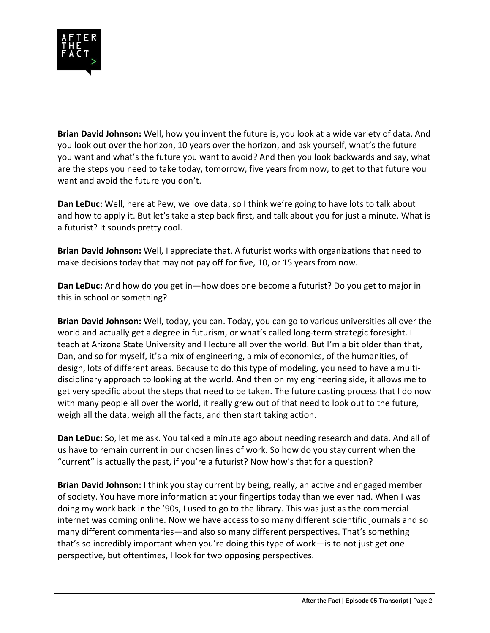

**Brian David Johnson:** Well, how you invent the future is, you look at a wide variety of data. And you look out over the horizon, 10 years over the horizon, and ask yourself, what's the future you want and what's the future you want to avoid? And then you look backwards and say, what are the steps you need to take today, tomorrow, five years from now, to get to that future you want and avoid the future you don't.

**Dan LeDuc:** Well, here at Pew, we love data, so I think we're going to have lots to talk about and how to apply it. But let's take a step back first, and talk about you for just a minute. What is a futurist? It sounds pretty cool.

**Brian David Johnson:** Well, I appreciate that. A futurist works with organizations that need to make decisions today that may not pay off for five, 10, or 15 years from now.

**Dan LeDuc:** And how do you get in—how does one become a futurist? Do you get to major in this in school or something?

**Brian David Johnson:** Well, today, you can. Today, you can go to various universities all over the world and actually get a degree in futurism, or what's called long-term strategic foresight. I teach at Arizona State University and I lecture all over the world. But I'm a bit older than that, Dan, and so for myself, it's a mix of engineering, a mix of economics, of the humanities, of design, lots of different areas. Because to do this type of modeling, you need to have a multidisciplinary approach to looking at the world. And then on my engineering side, it allows me to get very specific about the steps that need to be taken. The future casting process that I do now with many people all over the world, it really grew out of that need to look out to the future, weigh all the data, weigh all the facts, and then start taking action.

**Dan LeDuc:** So, let me ask. You talked a minute ago about needing research and data. And all of us have to remain current in our chosen lines of work. So how do you stay current when the "current" is actually the past, if you're a futurist? Now how's that for a question?

**Brian David Johnson:** I think you stay current by being, really, an active and engaged member of society. You have more information at your fingertips today than we ever had. When I was doing my work back in the '90s, I used to go to the library. This was just as the commercial internet was coming online. Now we have access to so many different scientific journals and so many different commentaries—and also so many different perspectives. That's something that's so incredibly important when you're doing this type of work—is to not just get one perspective, but oftentimes, I look for two opposing perspectives.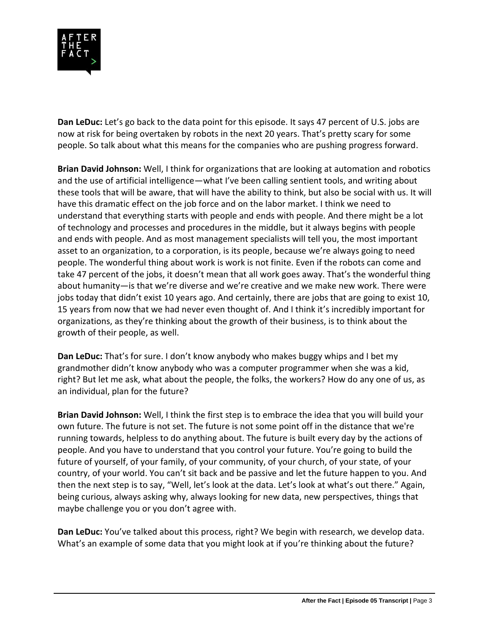

**Dan LeDuc:** Let's go back to the data point for this episode. It says 47 percent of U.S. jobs are now at risk for being overtaken by robots in the next 20 years. That's pretty scary for some people. So talk about what this means for the companies who are pushing progress forward.

**Brian David Johnson:** Well, I think for organizations that are looking at automation and robotics and the use of artificial intelligence—what I've been calling sentient tools, and writing about these tools that will be aware, that will have the ability to think, but also be social with us. It will have this dramatic effect on the job force and on the labor market. I think we need to understand that everything starts with people and ends with people. And there might be a lot of technology and processes and procedures in the middle, but it always begins with people and ends with people. And as most management specialists will tell you, the most important asset to an organization, to a corporation, is its people, because we're always going to need people. The wonderful thing about work is work is not finite. Even if the robots can come and take 47 percent of the jobs, it doesn't mean that all work goes away. That's the wonderful thing about humanity—is that we're diverse and we're creative and we make new work. There were jobs today that didn't exist 10 years ago. And certainly, there are jobs that are going to exist 10, 15 years from now that we had never even thought of. And I think it's incredibly important for organizations, as they're thinking about the growth of their business, is to think about the growth of their people, as well.

**Dan LeDuc:** That's for sure. I don't know anybody who makes buggy whips and I bet my grandmother didn't know anybody who was a computer programmer when she was a kid, right? But let me ask, what about the people, the folks, the workers? How do any one of us, as an individual, plan for the future?

**Brian David Johnson:** Well, I think the first step is to embrace the idea that you will build your own future. The future is not set. The future is not some point off in the distance that we're running towards, helpless to do anything about. The future is built every day by the actions of people. And you have to understand that you control your future. You're going to build the future of yourself, of your family, of your community, of your church, of your state, of your country, of your world. You can't sit back and be passive and let the future happen to you. And then the next step is to say, "Well, let's look at the data. Let's look at what's out there." Again, being curious, always asking why, always looking for new data, new perspectives, things that maybe challenge you or you don't agree with.

**Dan LeDuc:** You've talked about this process, right? We begin with research, we develop data. What's an example of some data that you might look at if you're thinking about the future?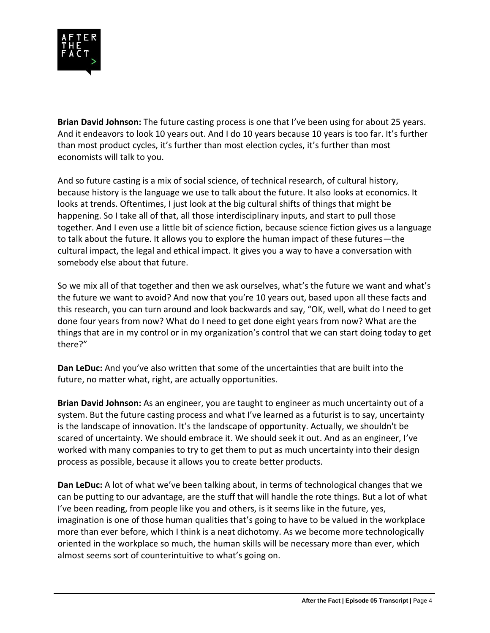

**Brian David Johnson:** The future casting process is one that I've been using for about 25 years. And it endeavors to look 10 years out. And I do 10 years because 10 years is too far. It's further than most product cycles, it's further than most election cycles, it's further than most economists will talk to you.

And so future casting is a mix of social science, of technical research, of cultural history, because history is the language we use to talk about the future. It also looks at economics. It looks at trends. Oftentimes, I just look at the big cultural shifts of things that might be happening. So I take all of that, all those interdisciplinary inputs, and start to pull those together. And I even use a little bit of science fiction, because science fiction gives us a language to talk about the future. It allows you to explore the human impact of these futures—the cultural impact, the legal and ethical impact. It gives you a way to have a conversation with somebody else about that future.

So we mix all of that together and then we ask ourselves, what's the future we want and what's the future we want to avoid? And now that you're 10 years out, based upon all these facts and this research, you can turn around and look backwards and say, "OK, well, what do I need to get done four years from now? What do I need to get done eight years from now? What are the things that are in my control or in my organization's control that we can start doing today to get there?"

**Dan LeDuc:** And you've also written that some of the uncertainties that are built into the future, no matter what, right, are actually opportunities.

**Brian David Johnson:** As an engineer, you are taught to engineer as much uncertainty out of a system. But the future casting process and what I've learned as a futurist is to say, uncertainty is the landscape of innovation. It's the landscape of opportunity. Actually, we shouldn't be scared of uncertainty. We should embrace it. We should seek it out. And as an engineer, I've worked with many companies to try to get them to put as much uncertainty into their design process as possible, because it allows you to create better products.

**Dan LeDuc:** A lot of what we've been talking about, in terms of technological changes that we can be putting to our advantage, are the stuff that will handle the rote things. But a lot of what I've been reading, from people like you and others, is it seems like in the future, yes, imagination is one of those human qualities that's going to have to be valued in the workplace more than ever before, which I think is a neat dichotomy. As we become more technologically oriented in the workplace so much, the human skills will be necessary more than ever, which almost seems sort of counterintuitive to what's going on.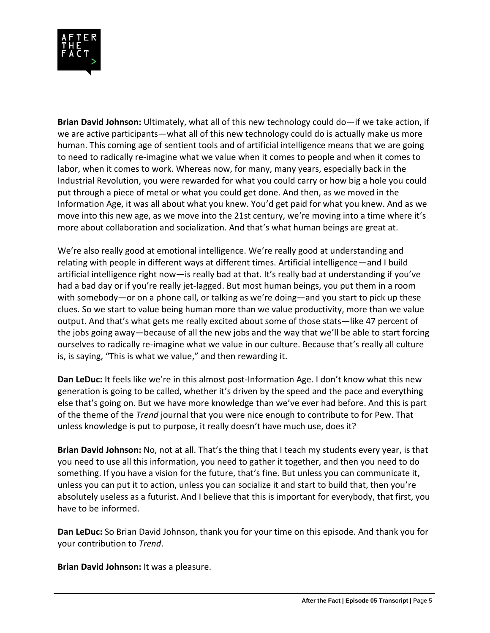

**Brian David Johnson:** Ultimately, what all of this new technology could do—if we take action, if we are active participants—what all of this new technology could do is actually make us more human. This coming age of sentient tools and of artificial intelligence means that we are going to need to radically re-imagine what we value when it comes to people and when it comes to labor, when it comes to work. Whereas now, for many, many years, especially back in the Industrial Revolution, you were rewarded for what you could carry or how big a hole you could put through a piece of metal or what you could get done. And then, as we moved in the Information Age, it was all about what you knew. You'd get paid for what you knew. And as we move into this new age, as we move into the 21st century, we're moving into a time where it's more about collaboration and socialization. And that's what human beings are great at.

We're also really good at emotional intelligence. We're really good at understanding and relating with people in different ways at different times. Artificial intelligence—and I build artificial intelligence right now—is really bad at that. It's really bad at understanding if you've had a bad day or if you're really jet-lagged. But most human beings, you put them in a room with somebody—or on a phone call, or talking as we're doing—and you start to pick up these clues. So we start to value being human more than we value productivity, more than we value output. And that's what gets me really excited about some of those stats—like 47 percent of the jobs going away—because of all the new jobs and the way that we'll be able to start forcing ourselves to radically re-imagine what we value in our culture. Because that's really all culture is, is saying, "This is what we value," and then rewarding it.

**Dan LeDuc:** It feels like we're in this almost post-Information Age. I don't know what this new generation is going to be called, whether it's driven by the speed and the pace and everything else that's going on. But we have more knowledge than we've ever had before. And this is part of the theme of the *Trend* journal that you were nice enough to contribute to for Pew. That unless knowledge is put to purpose, it really doesn't have much use, does it?

**Brian David Johnson:** No, not at all. That's the thing that I teach my students every year, is that you need to use all this information, you need to gather it together, and then you need to do something. If you have a vision for the future, that's fine. But unless you can communicate it, unless you can put it to action, unless you can socialize it and start to build that, then you're absolutely useless as a futurist. And I believe that this is important for everybody, that first, you have to be informed.

**Dan LeDuc:** So Brian David Johnson, thank you for your time on this episode. And thank you for your contribution to *Trend*.

**Brian David Johnson:** It was a pleasure.